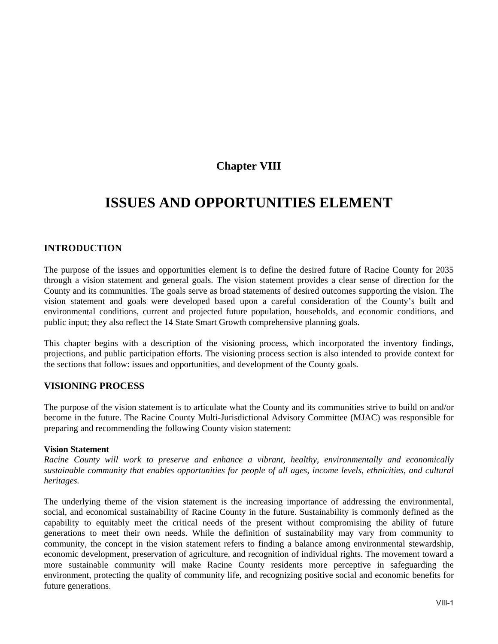## **Chapter VIII**

# **ISSUES AND OPPORTUNITIES ELEMENT**

## **INTRODUCTION**

The purpose of the issues and opportunities element is to define the desired future of Racine County for 2035 through a vision statement and general goals. The vision statement provides a clear sense of direction for the County and its communities. The goals serve as broad statements of desired outcomes supporting the vision. The vision statement and goals were developed based upon a careful consideration of the County's built and environmental conditions, current and projected future population, households, and economic conditions, and public input; they also reflect the 14 State Smart Growth comprehensive planning goals.

This chapter begins with a description of the visioning process, which incorporated the inventory findings, projections, and public participation efforts. The visioning process section is also intended to provide context for the sections that follow: issues and opportunities, and development of the County goals.

## **VISIONING PROCESS**

The purpose of the vision statement is to articulate what the County and its communities strive to build on and/or become in the future. The Racine County Multi-Jurisdictional Advisory Committee (MJAC) was responsible for preparing and recommending the following County vision statement:

#### **Vision Statement**

*Racine County will work to preserve and enhance a vibrant, healthy, environmentally and economically sustainable community that enables opportunities for people of all ages, income levels, ethnicities, and cultural heritages.* 

The underlying theme of the vision statement is the increasing importance of addressing the environmental, social, and economical sustainability of Racine County in the future. Sustainability is commonly defined as the capability to equitably meet the critical needs of the present without compromising the ability of future generations to meet their own needs. While the definition of sustainability may vary from community to community, the concept in the vision statement refers to finding a balance among environmental stewardship, economic development, preservation of agriculture, and recognition of individual rights. The movement toward a more sustainable community will make Racine County residents more perceptive in safeguarding the environment, protecting the quality of community life, and recognizing positive social and economic benefits for future generations.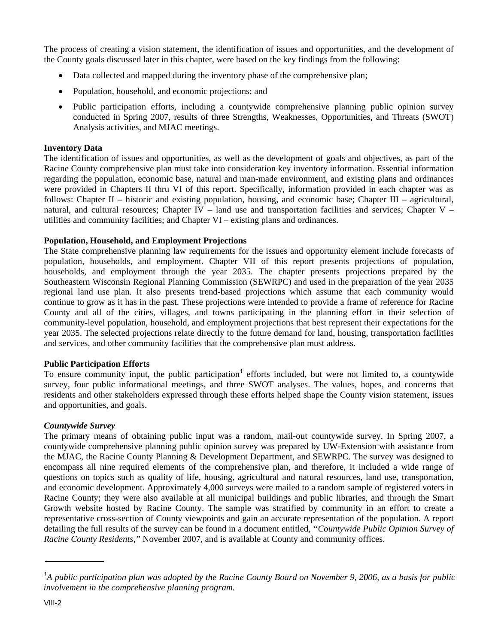The process of creating a vision statement, the identification of issues and opportunities, and the development of the County goals discussed later in this chapter, were based on the key findings from the following:

- Data collected and mapped during the inventory phase of the comprehensive plan;
- Population, household, and economic projections; and
- Public participation efforts, including a countywide comprehensive planning public opinion survey conducted in Spring 2007, results of three Strengths, Weaknesses, Opportunities, and Threats (SWOT) Analysis activities, and MJAC meetings.

#### **Inventory Data**

The identification of issues and opportunities, as well as the development of goals and objectives, as part of the Racine County comprehensive plan must take into consideration key inventory information. Essential information regarding the population, economic base, natural and man-made environment, and existing plans and ordinances were provided in Chapters II thru VI of this report. Specifically, information provided in each chapter was as follows: Chapter II – historic and existing population, housing, and economic base; Chapter III – agricultural, natural, and cultural resources; Chapter IV – land use and transportation facilities and services; Chapter V – utilities and community facilities; and Chapter VI – existing plans and ordinances.

#### **Population, Household, and Employment Projections**

The State comprehensive planning law requirements for the issues and opportunity element include forecasts of population, households, and employment. Chapter VII of this report presents projections of population, households, and employment through the year 2035. The chapter presents projections prepared by the Southeastern Wisconsin Regional Planning Commission (SEWRPC) and used in the preparation of the year 2035 regional land use plan. It also presents trend-based projections which assume that each community would continue to grow as it has in the past. These projections were intended to provide a frame of reference for Racine County and all of the cities, villages, and towns participating in the planning effort in their selection of community-level population, household, and employment projections that best represent their expectations for the year 2035. The selected projections relate directly to the future demand for land, housing, transportation facilities and services, and other community facilities that the comprehensive plan must address.

#### **Public Participation Efforts**

To ensure community input, the public participation<sup>1</sup> efforts included, but were not limited to, a countywide survey, four public informational meetings, and three SWOT analyses. The values, hopes, and concerns that residents and other stakeholders expressed through these efforts helped shape the County vision statement, issues and opportunities, and goals.

#### *Countywide Survey*

The primary means of obtaining public input was a random, mail-out countywide survey. In Spring 2007, a countywide comprehensive planning public opinion survey was prepared by UW-Extension with assistance from the MJAC, the Racine County Planning & Development Department, and SEWRPC. The survey was designed to encompass all nine required elements of the comprehensive plan, and therefore, it included a wide range of questions on topics such as quality of life, housing, agricultural and natural resources, land use, transportation, and economic development. Approximately 4,000 surveys were mailed to a random sample of registered voters in Racine County; they were also available at all municipal buildings and public libraries, and through the Smart Growth website hosted by Racine County. The sample was stratified by community in an effort to create a representative cross-section of County viewpoints and gain an accurate representation of the population. A report detailing the full results of the survey can be found in a document entitled, *"Countywide Public Opinion Survey of Racine County Residents,"* November 2007, and is available at County and community offices.

<sup>&</sup>lt;sup>1</sup>A public participation plan was adopted by the Racine County Board on November 9, 2006, as a basis for public *involvement in the comprehensive planning program.*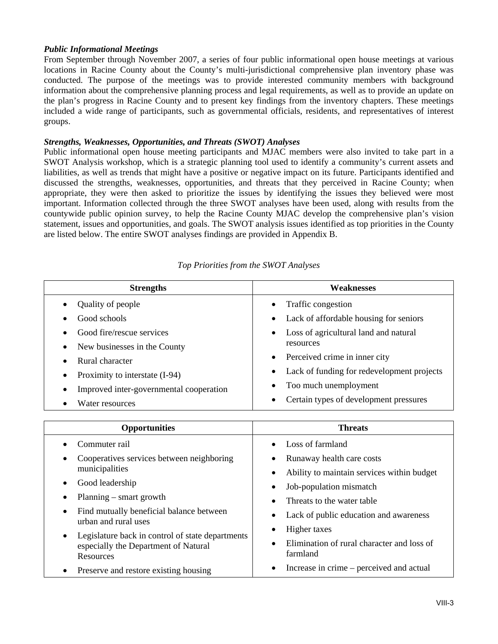#### *Public Informational Meetings*

From September through November 2007, a series of four public informational open house meetings at various locations in Racine County about the County's multi-jurisdictional comprehensive plan inventory phase was conducted. The purpose of the meetings was to provide interested community members with background information about the comprehensive planning process and legal requirements, as well as to provide an update on the plan's progress in Racine County and to present key findings from the inventory chapters. These meetings included a wide range of participants, such as governmental officials, residents, and representatives of interest groups.

#### *Strengths, Weaknesses, Opportunities, and Threats (SWOT) Analyses*

Public informational open house meeting participants and MJAC members were also invited to take part in a SWOT Analysis workshop, which is a strategic planning tool used to identify a community's current assets and liabilities, as well as trends that might have a positive or negative impact on its future. Participants identified and discussed the strengths, weaknesses, opportunities, and threats that they perceived in Racine County; when appropriate, they were then asked to prioritize the issues by identifying the issues they believed were most important. Information collected through the three SWOT analyses have been used, along with results from the countywide public opinion survey, to help the Racine County MJAC develop the comprehensive plan's vision statement, issues and opportunities, and goals. The SWOT analysis issues identified as top priorities in the County are listed below. The entire SWOT analyses findings are provided in Appendix B.

| <b>Strengths</b>                        | <b>Weaknesses</b>                                  |
|-----------------------------------------|----------------------------------------------------|
| Quality of people                       | Traffic congestion                                 |
| Good schools                            | Lack of affordable housing for seniors             |
| Good fire/rescue services               | Loss of agricultural land and natural<br>$\bullet$ |
| New businesses in the County            | resources                                          |
| Rural character                         | Perceived crime in inner city<br>$\bullet$         |
| Proximity to interstate (I-94)          | Lack of funding for redevelopment projects         |
| Improved inter-governmental cooperation | Too much unemployment                              |
| Water resources                         | Certain types of development pressures             |
|                                         |                                                    |
| <b>Opportunities</b>                    | <b>Threats</b>                                     |
| Commuter rail                           | $\bullet$ Loss of farmland                         |

*Top Priorities from the SWOT Analyses* 

| <b>Opportunities</b>                                                                                                      | <b>Threats</b>                                                                                   |
|---------------------------------------------------------------------------------------------------------------------------|--------------------------------------------------------------------------------------------------|
| Commuter rail                                                                                                             | Loss of farmland<br>$\bullet$                                                                    |
| Cooperatives services between neighboring<br>municipalities                                                               | Runaway health care costs<br>Ability to maintain services within budget                          |
| Good leadership<br>Planning $-$ smart growth                                                                              | Job-population mismatch<br>$\bullet$                                                             |
| Find mutually beneficial balance between<br>urban and rural uses                                                          | Threats to the water table<br>Lack of public education and awareness<br>٠                        |
| Legislature back in control of state departments<br>$\bullet$<br>especially the Department of Natural<br><b>Resources</b> | Higher taxes<br>$\bullet$<br>Elimination of rural character and loss of<br>$\bullet$<br>farmland |
| Preserve and restore existing housing                                                                                     | Increase in crime – perceived and actual<br>٠                                                    |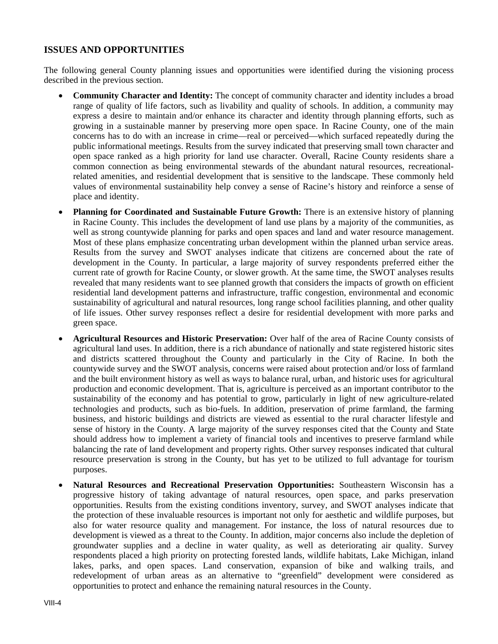## **ISSUES AND OPPORTUNITIES**

The following general County planning issues and opportunities were identified during the visioning process described in the previous section.

- **Community Character and Identity:** The concept of community character and identity includes a broad range of quality of life factors, such as livability and quality of schools. In addition, a community may express a desire to maintain and/or enhance its character and identity through planning efforts, such as growing in a sustainable manner by preserving more open space. In Racine County, one of the main concerns has to do with an increase in crime—real or perceived—which surfaced repeatedly during the public informational meetings. Results from the survey indicated that preserving small town character and open space ranked as a high priority for land use character. Overall, Racine County residents share a common connection as being environmental stewards of the abundant natural resources, recreationalrelated amenities, and residential development that is sensitive to the landscape. These commonly held values of environmental sustainability help convey a sense of Racine's history and reinforce a sense of place and identity.
- **Planning for Coordinated and Sustainable Future Growth:** There is an extensive history of planning in Racine County. This includes the development of land use plans by a majority of the communities, as well as strong countywide planning for parks and open spaces and land and water resource management. Most of these plans emphasize concentrating urban development within the planned urban service areas. Results from the survey and SWOT analyses indicate that citizens are concerned about the rate of development in the County. In particular, a large majority of survey respondents preferred either the current rate of growth for Racine County, or slower growth. At the same time, the SWOT analyses results revealed that many residents want to see planned growth that considers the impacts of growth on efficient residential land development patterns and infrastructure, traffic congestion, environmental and economic sustainability of agricultural and natural resources, long range school facilities planning, and other quality of life issues. Other survey responses reflect a desire for residential development with more parks and green space.
- **Agricultural Resources and Historic Preservation:** Over half of the area of Racine County consists of agricultural land uses. In addition, there is a rich abundance of nationally and state registered historic sites and districts scattered throughout the County and particularly in the City of Racine. In both the countywide survey and the SWOT analysis, concerns were raised about protection and/or loss of farmland and the built environment history as well as ways to balance rural, urban, and historic uses for agricultural production and economic development. That is, agriculture is perceived as an important contributor to the sustainability of the economy and has potential to grow, particularly in light of new agriculture-related technologies and products, such as bio-fuels. In addition, preservation of prime farmland, the farming business, and historic buildings and districts are viewed as essential to the rural character lifestyle and sense of history in the County. A large majority of the survey responses cited that the County and State should address how to implement a variety of financial tools and incentives to preserve farmland while balancing the rate of land development and property rights. Other survey responses indicated that cultural resource preservation is strong in the County, but has yet to be utilized to full advantage for tourism purposes.
- **Natural Resources and Recreational Preservation Opportunities:** Southeastern Wisconsin has a progressive history of taking advantage of natural resources, open space, and parks preservation opportunities. Results from the existing conditions inventory, survey, and SWOT analyses indicate that the protection of these invaluable resources is important not only for aesthetic and wildlife purposes, but also for water resource quality and management. For instance, the loss of natural resources due to development is viewed as a threat to the County. In addition, major concerns also include the depletion of groundwater supplies and a decline in water quality, as well as deteriorating air quality. Survey respondents placed a high priority on protecting forested lands, wildlife habitats, Lake Michigan, inland lakes, parks, and open spaces. Land conservation, expansion of bike and walking trails, and redevelopment of urban areas as an alternative to "greenfield" development were considered as opportunities to protect and enhance the remaining natural resources in the County.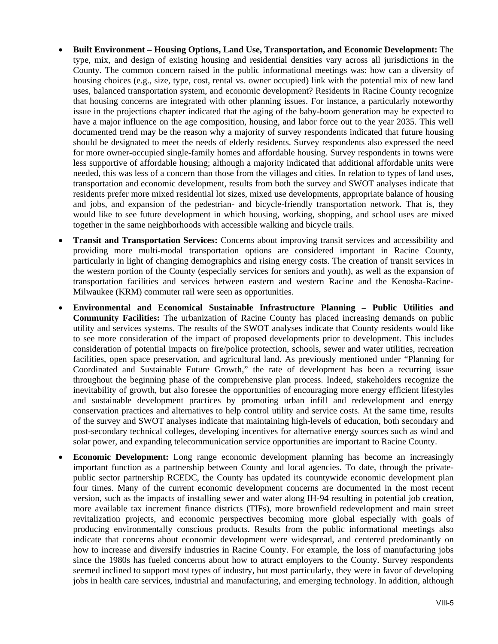- **Built Environment Housing Options, Land Use, Transportation, and Economic Development:** The type, mix, and design of existing housing and residential densities vary across all jurisdictions in the County. The common concern raised in the public informational meetings was: how can a diversity of housing choices (e.g., size, type, cost, rental vs. owner occupied) link with the potential mix of new land uses, balanced transportation system, and economic development? Residents in Racine County recognize that housing concerns are integrated with other planning issues. For instance, a particularly noteworthy issue in the projections chapter indicated that the aging of the baby-boom generation may be expected to have a major influence on the age composition, housing, and labor force out to the year 2035. This well documented trend may be the reason why a majority of survey respondents indicated that future housing should be designated to meet the needs of elderly residents. Survey respondents also expressed the need for more owner-occupied single-family homes and affordable housing. Survey respondents in towns were less supportive of affordable housing; although a majority indicated that additional affordable units were needed, this was less of a concern than those from the villages and cities. In relation to types of land uses, transportation and economic development, results from both the survey and SWOT analyses indicate that residents prefer more mixed residential lot sizes, mixed use developments, appropriate balance of housing and jobs, and expansion of the pedestrian- and bicycle-friendly transportation network. That is, they would like to see future development in which housing, working, shopping, and school uses are mixed together in the same neighborhoods with accessible walking and bicycle trails.
- **Transit and Transportation Services:** Concerns about improving transit services and accessibility and providing more multi-modal transportation options are considered important in Racine County, particularly in light of changing demographics and rising energy costs. The creation of transit services in the western portion of the County (especially services for seniors and youth), as well as the expansion of transportation facilities and services between eastern and western Racine and the Kenosha-Racine-Milwaukee (KRM) commuter rail were seen as opportunities.
- **Environmental and Economical Sustainable Infrastructure Planning Public Utilities and Community Facilities:** The urbanization of Racine County has placed increasing demands on public utility and services systems. The results of the SWOT analyses indicate that County residents would like to see more consideration of the impact of proposed developments prior to development. This includes consideration of potential impacts on fire/police protection, schools, sewer and water utilities, recreation facilities, open space preservation, and agricultural land. As previously mentioned under "Planning for Coordinated and Sustainable Future Growth," the rate of development has been a recurring issue throughout the beginning phase of the comprehensive plan process. Indeed, stakeholders recognize the inevitability of growth, but also foresee the opportunities of encouraging more energy efficient lifestyles and sustainable development practices by promoting urban infill and redevelopment and energy conservation practices and alternatives to help control utility and service costs. At the same time, results of the survey and SWOT analyses indicate that maintaining high-levels of education, both secondary and post-secondary technical colleges, developing incentives for alternative energy sources such as wind and solar power, and expanding telecommunication service opportunities are important to Racine County.
- **Economic Development:** Long range economic development planning has become an increasingly important function as a partnership between County and local agencies. To date, through the privatepublic sector partnership RCEDC, the County has updated its countywide economic development plan four times. Many of the current economic development concerns are documented in the most recent version, such as the impacts of installing sewer and water along IH-94 resulting in potential job creation, more available tax increment finance districts (TIFs), more brownfield redevelopment and main street revitalization projects, and economic perspectives becoming more global especially with goals of producing environmentally conscious products. Results from the public informational meetings also indicate that concerns about economic development were widespread, and centered predominantly on how to increase and diversify industries in Racine County. For example, the loss of manufacturing jobs since the 1980s has fueled concerns about how to attract employers to the County. Survey respondents seemed inclined to support most types of industry, but most particularly, they were in favor of developing jobs in health care services, industrial and manufacturing, and emerging technology. In addition, although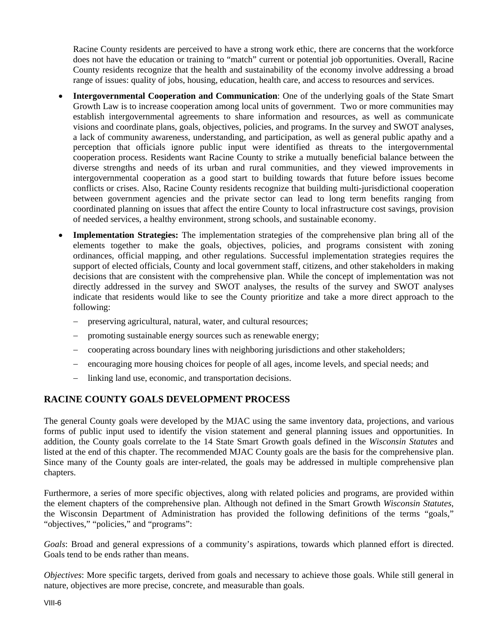Racine County residents are perceived to have a strong work ethic, there are concerns that the workforce does not have the education or training to "match" current or potential job opportunities. Overall, Racine County residents recognize that the health and sustainability of the economy involve addressing a broad range of issues: quality of jobs, housing, education, health care, and access to resources and services.

- **Intergovernmental Cooperation and Communication**: One of the underlying goals of the State Smart Growth Law is to increase cooperation among local units of government. Two or more communities may establish intergovernmental agreements to share information and resources, as well as communicate visions and coordinate plans, goals, objectives, policies, and programs. In the survey and SWOT analyses, a lack of community awareness, understanding, and participation, as well as general public apathy and a perception that officials ignore public input were identified as threats to the intergovernmental cooperation process. Residents want Racine County to strike a mutually beneficial balance between the diverse strengths and needs of its urban and rural communities, and they viewed improvements in intergovernmental cooperation as a good start to building towards that future before issues become conflicts or crises. Also, Racine County residents recognize that building multi-jurisdictional cooperation between government agencies and the private sector can lead to long term benefits ranging from coordinated planning on issues that affect the entire County to local infrastructure cost savings, provision of needed services, a healthy environment, strong schools, and sustainable economy.
- **Implementation Strategies:** The implementation strategies of the comprehensive plan bring all of the elements together to make the goals, objectives, policies, and programs consistent with zoning ordinances, official mapping, and other regulations. Successful implementation strategies requires the support of elected officials, County and local government staff, citizens, and other stakeholders in making decisions that are consistent with the comprehensive plan. While the concept of implementation was not directly addressed in the survey and SWOT analyses, the results of the survey and SWOT analyses indicate that residents would like to see the County prioritize and take a more direct approach to the following:
	- preserving agricultural, natural, water, and cultural resources;
	- promoting sustainable energy sources such as renewable energy;
	- cooperating across boundary lines with neighboring jurisdictions and other stakeholders;
	- encouraging more housing choices for people of all ages, income levels, and special needs; and
	- linking land use, economic, and transportation decisions.

## **RACINE COUNTY GOALS DEVELOPMENT PROCESS**

The general County goals were developed by the MJAC using the same inventory data, projections, and various forms of public input used to identify the vision statement and general planning issues and opportunities. In addition, the County goals correlate to the 14 State Smart Growth goals defined in the *Wisconsin Statutes* and listed at the end of this chapter. The recommended MJAC County goals are the basis for the comprehensive plan. Since many of the County goals are inter-related, the goals may be addressed in multiple comprehensive plan chapters.

Furthermore, a series of more specific objectives, along with related policies and programs, are provided within the element chapters of the comprehensive plan. Although not defined in the Smart Growth *Wisconsin Statutes*, the Wisconsin Department of Administration has provided the following definitions of the terms "goals," "objectives," "policies," and "programs":

*Goals*: Broad and general expressions of a community's aspirations, towards which planned effort is directed. Goals tend to be ends rather than means.

*Objectives*: More specific targets, derived from goals and necessary to achieve those goals. While still general in nature, objectives are more precise, concrete, and measurable than goals.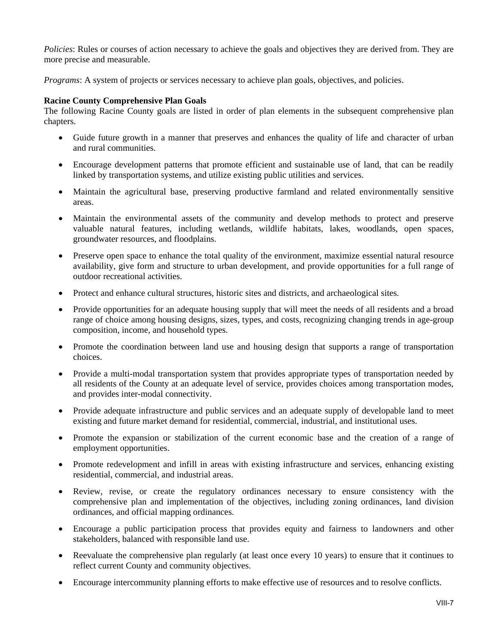*Policies*: Rules or courses of action necessary to achieve the goals and objectives they are derived from. They are more precise and measurable.

*Programs*: A system of projects or services necessary to achieve plan goals, objectives, and policies.

#### **Racine County Comprehensive Plan Goals**

The following Racine County goals are listed in order of plan elements in the subsequent comprehensive plan chapters.

- Guide future growth in a manner that preserves and enhances the quality of life and character of urban and rural communities.
- Encourage development patterns that promote efficient and sustainable use of land, that can be readily linked by transportation systems, and utilize existing public utilities and services.
- Maintain the agricultural base, preserving productive farmland and related environmentally sensitive areas.
- Maintain the environmental assets of the community and develop methods to protect and preserve valuable natural features, including wetlands, wildlife habitats, lakes, woodlands, open spaces, groundwater resources, and floodplains.
- Preserve open space to enhance the total quality of the environment, maximize essential natural resource availability, give form and structure to urban development, and provide opportunities for a full range of outdoor recreational activities.
- Protect and enhance cultural structures, historic sites and districts, and archaeological sites.
- Provide opportunities for an adequate housing supply that will meet the needs of all residents and a broad range of choice among housing designs, sizes, types, and costs, recognizing changing trends in age-group composition, income, and household types.
- Promote the coordination between land use and housing design that supports a range of transportation choices.
- Provide a multi-modal transportation system that provides appropriate types of transportation needed by all residents of the County at an adequate level of service, provides choices among transportation modes, and provides inter-modal connectivity.
- Provide adequate infrastructure and public services and an adequate supply of developable land to meet existing and future market demand for residential, commercial, industrial, and institutional uses.
- Promote the expansion or stabilization of the current economic base and the creation of a range of employment opportunities.
- Promote redevelopment and infill in areas with existing infrastructure and services, enhancing existing residential, commercial, and industrial areas.
- Review, revise, or create the regulatory ordinances necessary to ensure consistency with the comprehensive plan and implementation of the objectives, including zoning ordinances, land division ordinances, and official mapping ordinances.
- Encourage a public participation process that provides equity and fairness to landowners and other stakeholders, balanced with responsible land use.
- Reevaluate the comprehensive plan regularly (at least once every 10 years) to ensure that it continues to reflect current County and community objectives.
- Encourage intercommunity planning efforts to make effective use of resources and to resolve conflicts.